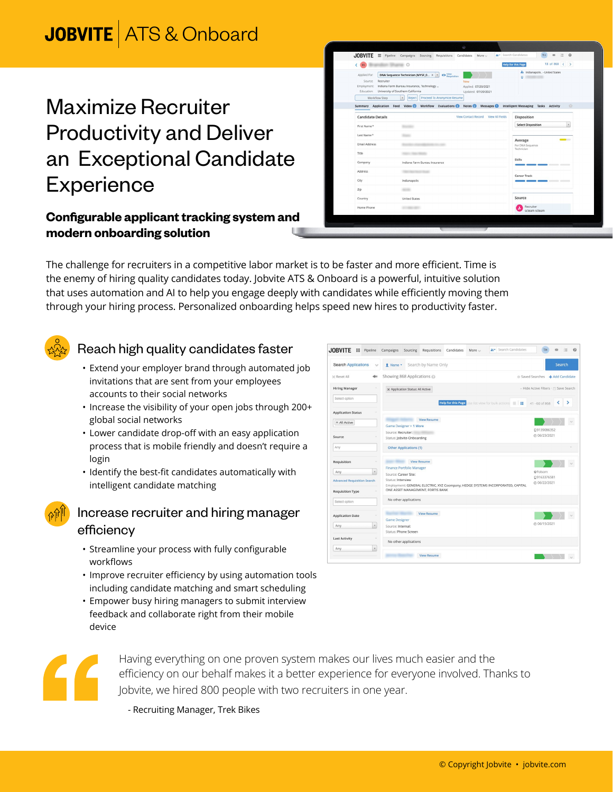# **JOBVITE** ATS & Onboard

## Maximize Recruiter Productivity and Deliver an Exceptional Candidate **Experience**

#### **Configurable applicant tracking system and modern onboarding solution**

| <b>BS</b>                                                                                                            | $\circ$                                                                                                                                                                                                             | 13 of 868 $\langle$ ><br><b>Help for this Page</b> |  |
|----------------------------------------------------------------------------------------------------------------------|---------------------------------------------------------------------------------------------------------------------------------------------------------------------------------------------------------------------|----------------------------------------------------|--|
| Applied For:<br>Recruiter<br>Source:<br>Employment:<br>Education: University of Southern California<br>Workflow Step | O Yew<br>DNA Sequence Technician (MYSF_0 × -<br>New<br>Indiana Farm Bureau Insurance, Technology<br>Applied: 07/20/2021<br>Updated: 07/20/2021<br>Proceed To Anonymize Resume<br>$\overline{\phantom{a}}$<br>Reject | Jo Indianapolis . - United States<br>o.<br>. .     |  |
| Summary Application Feed Video                                                                                       | Workflow Evaluations<br>Notes <sup>O</sup>                                                                                                                                                                          | 兴<br>Messages Intelligent Messaging Tasks Activity |  |
| <b>Candidate Details</b>                                                                                             | View Contact Record View All Fields                                                                                                                                                                                 | Disposition                                        |  |
| First Name*                                                                                                          |                                                                                                                                                                                                                     | <b>Select Disposition</b><br>$\mathbf{v}$          |  |
| Last Name*                                                                                                           |                                                                                                                                                                                                                     |                                                    |  |
| Email Address                                                                                                        |                                                                                                                                                                                                                     | _<br>Average                                       |  |
|                                                                                                                      |                                                                                                                                                                                                                     | For DNA Sequence<br>Technician                     |  |
| Title                                                                                                                |                                                                                                                                                                                                                     |                                                    |  |
| Company                                                                                                              | Indiana Farm Bureau Insurance                                                                                                                                                                                       | <b>Skills</b><br>---                               |  |
| Address                                                                                                              |                                                                                                                                                                                                                     | <b>Career Track</b>                                |  |
| City                                                                                                                 | Indianapolis                                                                                                                                                                                                        |                                                    |  |
| Zip                                                                                                                  | <b>SECTION</b>                                                                                                                                                                                                      |                                                    |  |
| Country                                                                                                              | <b>United States</b>                                                                                                                                                                                                | Source                                             |  |
| Home Phone                                                                                                           | <b>STATISTICS</b>                                                                                                                                                                                                   | Recruiter<br>scteam scteam                         |  |

The challenge for recruiters in a competitive labor market is to be faster and more efficient. Time is the enemy of hiring quality candidates today. Jobvite ATS & Onboard is a powerful, intuitive solution that uses automation and AI to help you engage deeply with candidates while efficiently moving them through your hiring process. Personalized onboarding helps speed new hires to productivity faster.



## Reach high quality candidates faster

- Extend your employer brand through automated job invitations that are sent from your employees accounts to their social networks
- Increase the visibility of your open jobs through 200+ global social networks
- Lower candidate drop-off with an easy application process that is mobile friendly and doesn't require a login
- Identify the best-fit candidates automatically with intelligent candidate matching



#### Increase recruiter and hiring manager efficiency

- Streamline your process with fully configurable workflows
- Improve recruiter efficiency by using automation tools including candidate matching and smart scheduling
- Empower busy hiring managers to submit interview feedback and collaborate right from their mobile device





Having everything on one proven system makes our lives much easier and the efficiency on our behalf makes it a better experience for everyone involved. Thanks to Jobvite, we hired 800 people with two recruiters in one year.

- Recruiting Manager, Trek Bikes